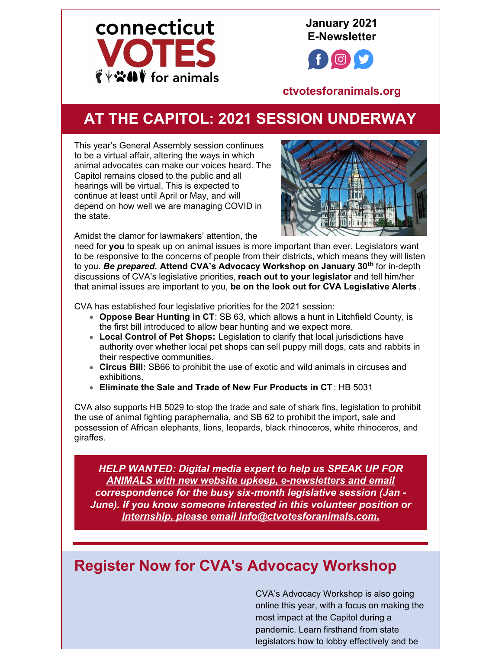

**January 2021 E-Newsletter**



**[ctvotesforanimals.org](http://ctvotesforanimals.org)**

## **AT THE CAPITOL: 2021 SESSION UNDERWAY**

This year's General Assembly session continues to be a virtual affair, altering the ways in which animal advocates can make our voices heard. The Capitol remains closed to the public and all hearings will be virtual. This is expected to continue at least until April or May, and will depend on how well we are managing COVID in the state.



Amidst the clamor for lawmakers' attention, the

need for **you** to speak up on animal issues is more important than ever. Legislators want to be responsive to the concerns of people from their districts, which means they will listen to you. *Be prepared.* **Attend CVA's Advocacy Workshop on January 30 th** for in-depth discussions of CVA's legislative priorities, **reach out to your legislator** and tell him/her that animal issues are important to you, **be on the look out for CVA Legislative Alerts** .

CVA has established four legislative priorities for the 2021 session:

- **Oppose Bear Hunting in CT**: SB 63, which allows a hunt in Litchfield County, is the first bill introduced to allow bear hunting and we expect more.
- **Local Control of Pet Shops:** Legislation to clarify that local jurisdictions have authority over whether local pet shops can sell puppy mill dogs, cats and rabbits in their respective communities.
- **Circus Bill:** SB66 to prohibit the use of exotic and wild animals in circuses and exhibitions.
- **Eliminate the Sale and Trade of New Fur Products in CT** : HB 5031

CVA also supports HB 5029 to stop the trade and sale of shark fins, legislation to prohibit the use of animal fighting paraphernalia, and SB 62 to prohibit the import, sale and possession of African elephants, lions, leopards, black rhinoceros, white rhinoceros, and giraffes.

*HELP WANTED: Digital media expert to help us SPEAK UP FOR ANIMALS with new website upkeep, e-newsletters and email correspondence for the busy six-month legislative session (Jan - June). If you know someone interested in this volunteer position or internship, please email info@ctvotesforanimals.com.*

## **Register Now for CVA's Advocacy Workshop**

CVA's Advocacy Workshop is also going online this year, with a focus on making the most impact at the Capitol during a pandemic. Learn firsthand from state legislators how to lobby effectively and be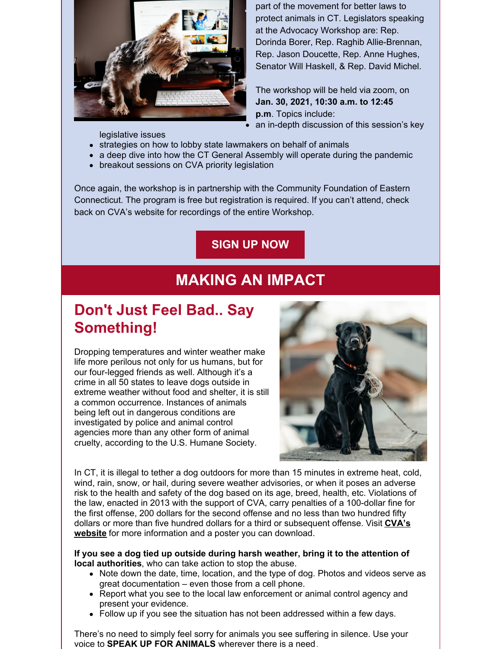

part of the movement for better laws to protect animals in CT. Legislators speaking at the Advocacy Workshop are: Rep. Dorinda Borer, Rep. Raghib Allie-Brennan, Rep. Jason Doucette, Rep. Anne Hughes, Senator Will Haskell, & Rep. David Michel.

The workshop will be held via zoom, on **Jan. 30, 2021, 10:30 a.m. to 12:45 p.m**. Topics include: an in-depth discussion of this session's key

legislative issues

- strategies on how to lobby state lawmakers on behalf of animals
- a deep dive into how the CT General Assembly will operate during the pandemic
- breakout sessions on CVA priority legislation

Once again, the workshop is in partnership with the Community Foundation of Eastern Connecticut. The program is free but registration is required. If you can't attend, check back on CVA's website for recordings of the entire Workshop.

**[SIGN](https://www.ctvotesforanimals.org/advocacy_leadin) UP NOW**

### **MAKING AN IMPACT**

## **Don't Just Feel Bad.. Say Something!**

Dropping temperatures and winter weather make life more perilous not only for us humans, but for our four-legged friends as well. Although it's a crime in all 50 states to leave dogs outside in extreme weather without food and shelter, it is still a common occurrence. Instances of animals being left out in dangerous conditions are investigated by police and animal control agencies more than any other form of animal cruelty, according to the U.S. Humane Society.



In CT, it is illegal to tether a dog outdoors for more than 15 minutes in extreme heat, cold, wind, rain, snow, or hail, during severe weather advisories, or when it poses an adverse risk to the health and safety of the dog based on its age, breed, health, etc. Violations of the law, enacted in 2013 with the support of CVA, carry penalties of a 100-dollar fine for the first offense, 200 dollars for the second offense and no less than two hundred fifty dollars or more than five hundred dollars for a third or [subsequent](https://www.ctvotesforanimals.org/dog_tethering) offense. Visit **CVA's website** for more information and a poster you can download.

**If you see a dog tied up outside during harsh weather, bring it to the attention of local authorities**, who can take action to stop the abuse.

- Note down the date, time, location, and the type of dog. Photos and videos serve as great documentation – even those from a cell phone.
- Report what you see to the local law enforcement or animal control agency and present your evidence.
- Follow up if you see the situation has not been addressed within a few days.

There's no need to simply feel sorry for animals you see suffering in silence. Use your voice to **SPEAK UP FOR ANIMALS** wherever there is a need.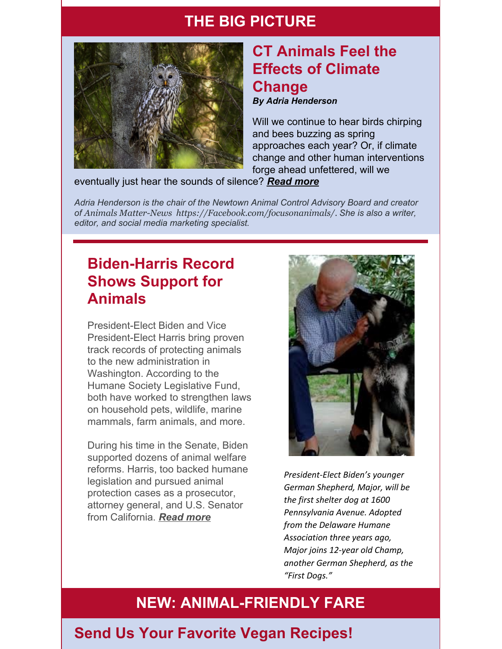### **THE BIG PICTURE**



# **CT Animals Feel the Effects of Climate Change**

*By Adria Henderson*

Will we continue to hear birds chirping and bees buzzing as spring approaches each year? Or, if climate change and other human interventions forge ahead unfettered, will we

#### eventually just hear the sounds of silence? *[Read](https://www.ctvotesforanimals.org/january_2021_e_news) more*

*Adria Henderson is the chair of the Newtown Animal Control Advisory Board and creator of Animals Matter-News [https://Facebook.com/focusonanimals/](https://facebook.com/focusonanimals/). She is also a writer, editor, and social media marketing specialist.*

### **Biden-Harris Record Shows Support for Animals**

President-Elect Biden and Vice President-Elect Harris bring proven track records of protecting animals to the new administration in Washington. According to the Humane Society Legislative Fund, both have worked to strengthen laws on household pets, wildlife, marine mammals, farm animals, and more.

During his time in the Senate, Biden supported dozens of animal welfare reforms. Harris, too backed humane legislation and pursued animal protection cases as a prosecutor, attorney general, and U.S. Senator from California. *[Read](https://www.ctvotesforanimals.org/january_2021_e_news) more*



*President-Elect Biden's younger German Shepherd, Major, will be the first shelter dog at 1600 Pennsylvania Avenue. Adopted from the Delaware Humane Association three years ago, Major joins 12-year old Champ, another German Shepherd, as the "First Dogs."*

## **NEW: ANIMAL-FRIENDLY FARE**

### **Send Us Your Favorite Vegan Recipes!**